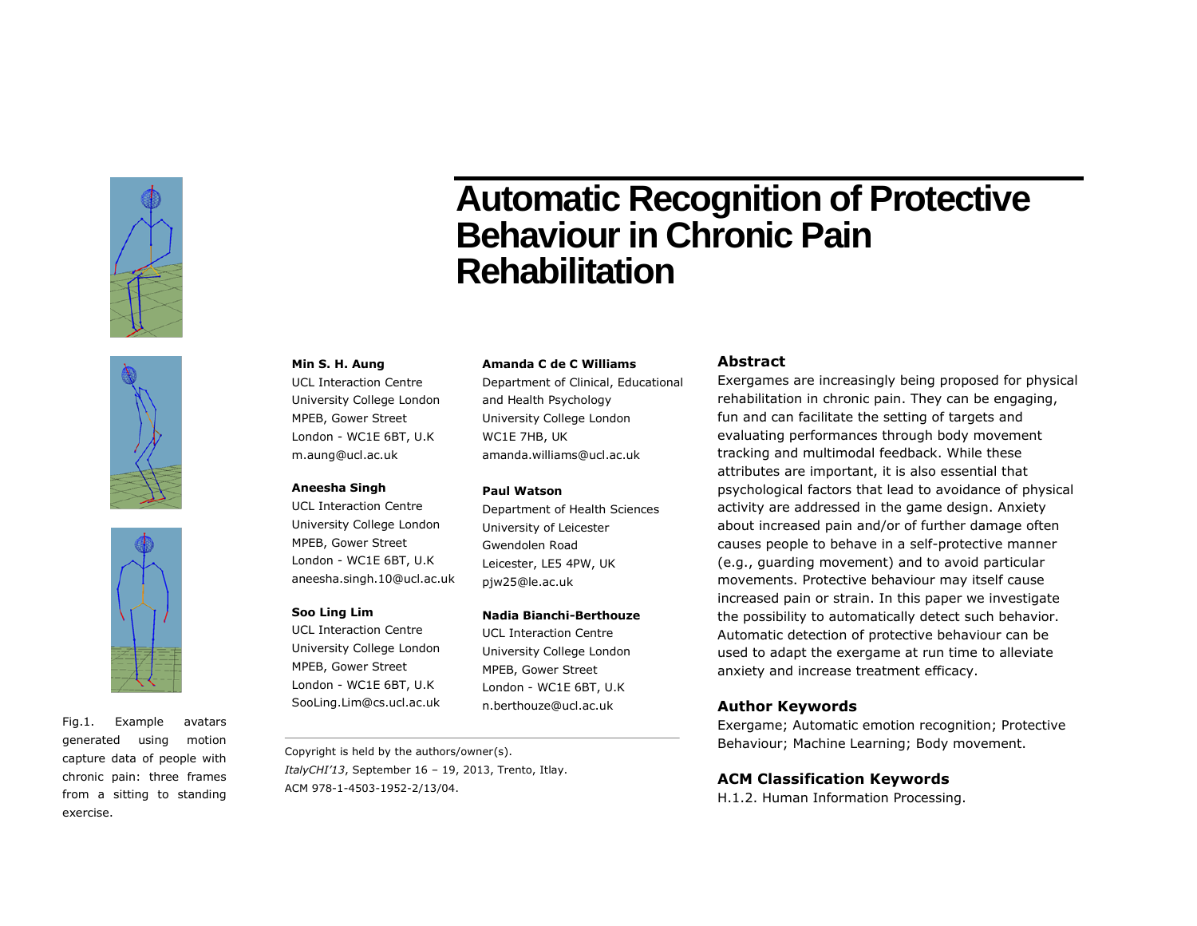





Fig.1. Example avatars generated using motion capture data of people with chronic pain: three frames from a sitting to standing exercise.

# **Automatic Recognition of Protective Behaviour in Chronic Pain Rehabilitation**

#### **Min S. H. Aung**

UCL Interaction Centre University College London MPEB, Gower Street London - WC1E 6BT, U.K m.aung@ucl.ac.uk

#### **Aneesha Singh**

UCL Interaction Centre University College London MPEB, Gower Street London - WC1E 6BT, U.K aneesha.singh.10@ucl.ac.uk

# **Soo Ling Lim**

UCL Interaction Centre University College London MPEB, Gower Street London - WC1E 6BT, U.K SooLing.Lim@cs.ucl.ac.uk

#### **Amanda C de C Williams**

Department of Clinical, Educational and Health Psychology University College London WC1E 7HB, UK amanda.williams@ucl.ac.uk

#### **Paul Watson**

Department of Health Sciences University of Leicester Gwendolen Road Leicester, LE5 4PW, UK pjw25@le.ac.uk

#### **Nadia Bianchi-Berthouze**

UCL Interaction Centre University College London MPEB, Gower Street London - WC1E 6BT, U.K n.berthouze@ucl.ac.uk

Copyright is held by the authors/owner(s). *ItalyCHI'13*, September 16 – 19, 2013, Trento, Itlay. ACM 978-1-4503-1952-2/13/04.

# **Abstract**

Exergames are increasingly being proposed for physical rehabilitation in chronic pain. They can be engaging, fun and can facilitate the setting of targets and evaluating performances through body movement tracking and multimodal feedback. While these attributes are important, it is also essential that psychological factors that lead to avoidance of physical activity are addressed in the game design. Anxiety about increased pain and/or of further damage often causes people to behave in a self-protective manner (e.g., guarding movement) and to avoid particular movements. Protective behaviour may itself cause increased pain or strain. In this paper we investigate the possibility to automatically detect such behavior. Automatic detection of protective behaviour can be used to adapt the exergame at run time to alleviate anxiety and increase treatment efficacy.

#### **Author Keywords**

Exergame; Automatic emotion recognition; Protective Behaviour; Machine Learning; Body movement.

## **ACM Classification Keywords**

H.1.2. Human Information Processing.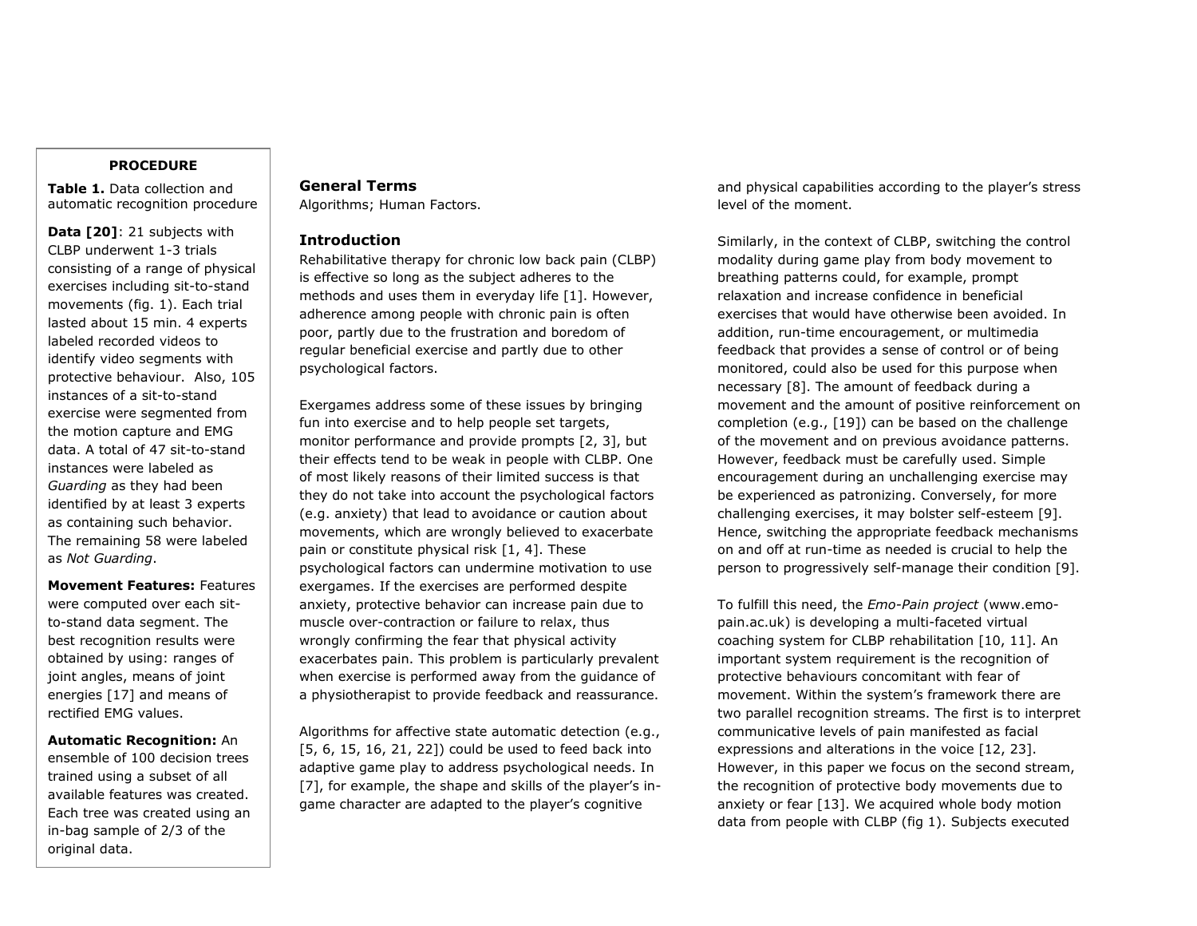## **PROCEDURE**

**Table 1.** Data collection and automatic recognition procedure

**Data [20]**: 21 subjects with CLBP underwent 1-3 trials consisting of a range of physical exercises including sit-to-stand movements (fig. 1). Each trial lasted about 15 min. 4 experts labeled recorded videos to identify video segments with protective behaviour. Also, 105 instances of a sit-to-stand exercise were segmented from the motion capture and EMG data. A total of 47 sit-to-stand instances were labeled as *Guarding* as they had been identified by at least 3 experts as containing such behavior. The remaining 58 were labeled as *Not Guarding*.

**Movement Features:** Features were computed over each sitto-stand data segment. The best recognition results were obtained by using: ranges of joint angles, means of joint energies [17] and means of rectified EMG values.

**Automatic Recognition:** An ensemble of 100 decision trees trained using a subset of all available features was created. Each tree was created using an in-bag sample of 2/3 of the original data.

# **General Terms**

Algorithms; Human Factors.

# **Introduction**

Rehabilitative therapy for chronic low back pain (CLBP) is effective so long as the subject adheres to the methods and uses them in everyday life [1]. However, adherence among people with chronic pain is often poor, partly due to the frustration and boredom of regular beneficial exercise and partly due to other psychological factors.

Exergames address some of these issues by bringing fun into exercise and to help people set targets, monitor performance and provide prompts [2, 3], but their effects tend to be weak in people with CLBP. One of most likely reasons of their limited success is that they do not take into account the psychological factors (e.g. anxiety) that lead to avoidance or caution about movements, which are wrongly believed to exacerbate pain or constitute physical risk [1, 4]. These psychological factors can undermine motivation to use exergames. If the exercises are performed despite anxiety, protective behavior can increase pain due to muscle over-contraction or failure to relax, thus wrongly confirming the fear that physical activity exacerbates pain. This problem is particularly prevalent when exercise is performed away from the guidance of a physiotherapist to provide feedback and reassurance.

Algorithms for affective state automatic detection (e.g., [5, 6, 15, 16, 21, 22]) could be used to feed back into adaptive game play to address psychological needs. In [7], for example, the shape and skills of the player's ingame character are adapted to the player's cognitive

and physical capabilities according to the player's stress level of the moment.

Similarly, in the context of CLBP, switching the control modality during game play from body movement to breathing patterns could, for example, prompt relaxation and increase confidence in beneficial exercises that would have otherwise been avoided. In addition, run-time encouragement, or multimedia feedback that provides a sense of control or of being monitored, could also be used for this purpose when necessary [8]. The amount of feedback during a movement and the amount of positive reinforcement on completion (e.g., [19]) can be based on the challenge of the movement and on previous avoidance patterns. However, feedback must be carefully used. Simple encouragement during an unchallenging exercise may be experienced as patronizing. Conversely, for more challenging exercises, it may bolster self-esteem [9]. Hence, switching the appropriate feedback mechanisms on and off at run-time as needed is crucial to help the person to progressively self-manage their condition [9].

To fulfill this need, the *Emo-Pain project* (www.emopain.ac.uk) is developing a multi-faceted virtual coaching system for CLBP rehabilitation [10, 11]. An important system requirement is the recognition of protective behaviours concomitant with fear of movement. Within the system's framework there are two parallel recognition streams. The first is to interpret communicative levels of pain manifested as facial expressions and alterations in the voice [12, 23]. However, in this paper we focus on the second stream, the recognition of protective body movements due to anxiety or fear [13]. We acquired whole body motion data from people with CLBP (fig 1). Subjects executed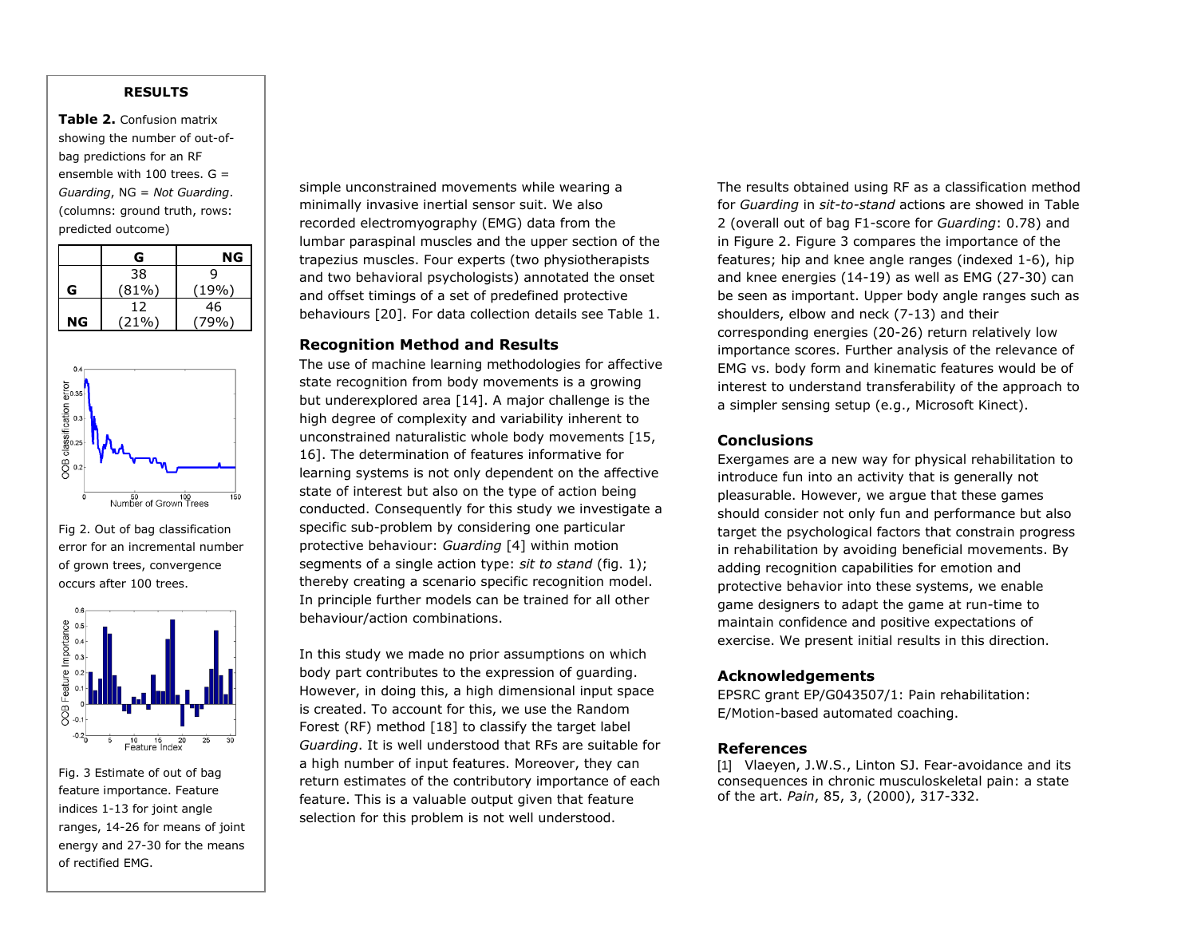# **RESULTS**

**Table 2.** Confusion matrix showing the number of out-ofbag predictions for an RF ensemble with 100 trees. G = *Guarding*, NG = *Not Guarding*. (columns: ground truth, rows: predicted outcome)

|    | G     | NG    |
|----|-------|-------|
|    | 38    | q     |
| G  | (81%) | (19%) |
|    | 12    | 46    |
| ΝG | (21%) | .79%) |



Fig 2. Out of bag classification error for an incremental number of grown trees, convergence occurs after 100 trees.



Fig. 3 Estimate of out of bag feature importance. Feature indices 1-13 for joint angle ranges, 14-26 for means of joint energy and 27-30 for the means of rectified EMG.

simple unconstrained movements while wearing a minimally invasive inertial sensor suit. We also recorded electromyography (EMG) data from the lumbar paraspinal muscles and the upper section of the trapezius muscles. Four experts (two physiotherapists and two behavioral psychologists) annotated the onset and offset timings of a set of predefined protective behaviours [20]. For data collection details see Table 1.

# **Recognition Method and Results**

The use of machine learning methodologies for affective state recognition from body movements is a growing but underexplored area [14]. A major challenge is the high degree of complexity and variability inherent to unconstrained naturalistic whole body movements [15, 16]. The determination of features informative for learning systems is not only dependent on the affective state of interest but also on the type of action being conducted. Consequently for this study we investigate a specific sub-problem by considering one particular protective behaviour: *Guarding* [4] within motion segments of a single action type: *sit to stand* (fig. 1); thereby creating a scenario specific recognition model. In principle further models can be trained for all other behaviour/action combinations.

In this study we made no prior assumptions on which body part contributes to the expression of guarding. However, in doing this, a high dimensional input space is created. To account for this, we use the Random Forest (RF) method [18] to classify the target label *Guarding*. It is well understood that RFs are suitable for a high number of input features. Moreover, they can return estimates of the contributory importance of each feature. This is a valuable output given that feature selection for this problem is not well understood.

The results obtained using RF as a classification method for *Guarding* in *sit-to-stand* actions are showed in Table 2 (overall out of bag F1-score for *Guarding*: 0.78) and in Figure 2. Figure 3 compares the importance of the features; hip and knee angle ranges (indexed 1-6), hip and knee energies (14-19) as well as EMG (27-30) can be seen as important. Upper body angle ranges such as shoulders, elbow and neck (7-13) and their corresponding energies (20-26) return relatively low importance scores. Further analysis of the relevance of EMG vs. body form and kinematic features would be of interest to understand transferability of the approach to a simpler sensing setup (e.g., Microsoft Kinect).

# **Conclusions**

Exergames are a new way for physical rehabilitation to introduce fun into an activity that is generally not pleasurable. However, we argue that these games should consider not only fun and performance but also target the psychological factors that constrain progress in rehabilitation by avoiding beneficial movements. By adding recognition capabilities for emotion and protective behavior into these systems, we enable game designers to adapt the game at run-time to maintain confidence and positive expectations of exercise. We present initial results in this direction.

#### **Acknowledgements**

EPSRC grant EP/G043507/1: Pain rehabilitation: E/Motion-based automated coaching.

# **References**

[1] Vlaeyen, J.W.S., Linton SJ. Fear-avoidance and its consequences in chronic musculoskeletal pain: a state of the art. *Pain*, 85, 3, (2000), 317-332.